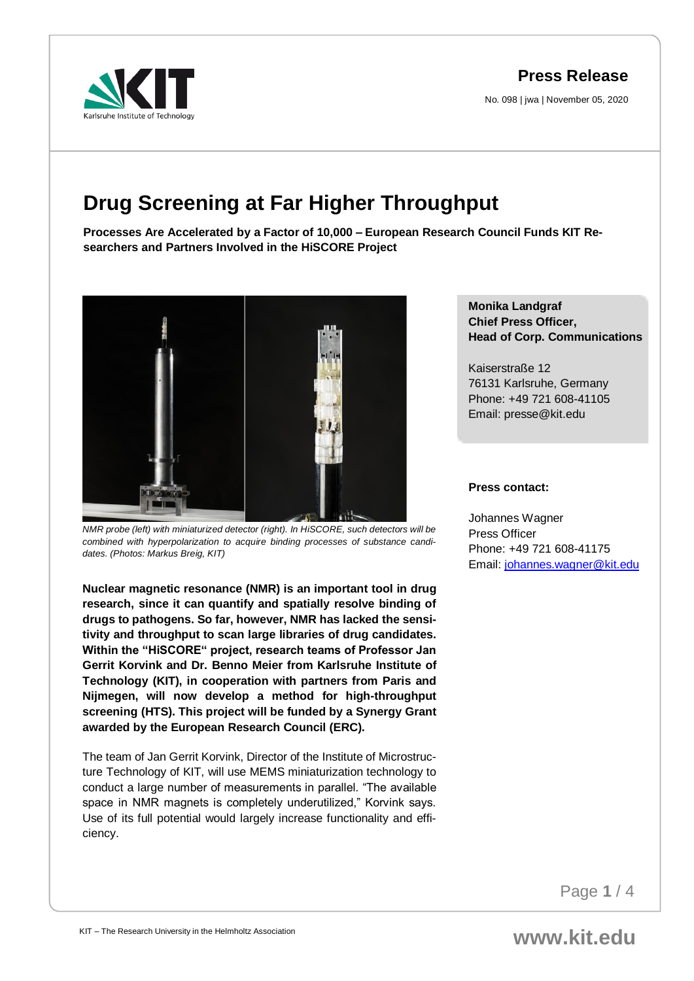## **Press Release**

No. 098 | jwa | November 05, 2020

# **Drug Screening at Far Higher Throughput**

**Processes Are Accelerated by a Factor of 10,000 – European Research Council Funds KIT Researchers and Partners Involved in the HiSCORE Project**



*NMR probe (left) with miniaturized detector (right). In HiSCORE, such detectors will be combined with hyperpolarization to acquire binding processes of substance candidates. (Photos: Markus Breig, KIT)*

**Nuclear magnetic resonance (NMR) is an important tool in drug research, since it can quantify and spatially resolve binding of drugs to pathogens. So far, however, NMR has lacked the sensitivity and throughput to scan large libraries of drug candidates. Within the "HiSCORE" project, research teams of Professor Jan Gerrit Korvink and Dr. Benno Meier from Karlsruhe Institute of Technology (KIT), in cooperation with partners from Paris and Nijmegen, will now develop a method for high-throughput screening (HTS). This project will be funded by a Synergy Grant awarded by the European Research Council (ERC).**

The team of Jan Gerrit Korvink, Director of the Institute of Microstructure Technology of KIT, will use MEMS miniaturization technology to conduct a large number of measurements in parallel. "The available space in NMR magnets is completely underutilized," Korvink says. Use of its full potential would largely increase functionality and efficiency.

### **Monika Landgraf Chief Press Officer, Head of Corp. Communications**

Kaiserstraße 12 76131 Karlsruhe, Germany Phone: +49 721 608-41105 Email: presse@kit.edu

#### **Press contact:**

Johannes Wagner Press Officer Phone: +49 721 608-41175 Email[: johannes.wagner@kit.edu](mailto:johannes.wagner@kit.edu)

Page **1** / 4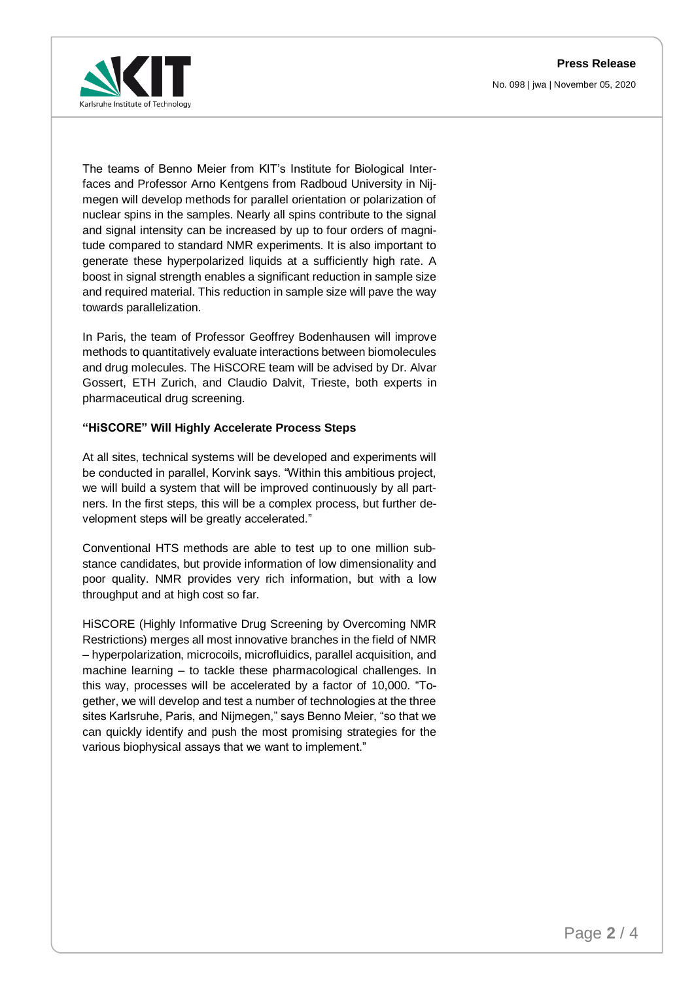**Press Release**





The teams of Benno Meier from KIT's Institute for Biological Interfaces and Professor Arno Kentgens from Radboud University in Nijmegen will develop methods for parallel orientation or polarization of nuclear spins in the samples. Nearly all spins contribute to the signal and signal intensity can be increased by up to four orders of magnitude compared to standard NMR experiments. It is also important to generate these hyperpolarized liquids at a sufficiently high rate. A boost in signal strength enables a significant reduction in sample size and required material. This reduction in sample size will pave the way towards parallelization.

In Paris, the team of Professor Geoffrey Bodenhausen will improve methods to quantitatively evaluate interactions between biomolecules and drug molecules. The HiSCORE team will be advised by Dr. Alvar Gossert, ETH Zurich, and Claudio Dalvit, Trieste, both experts in pharmaceutical drug screening.

#### **"HiSCORE" Will Highly Accelerate Process Steps**

At all sites, technical systems will be developed and experiments will be conducted in parallel, Korvink says. "Within this ambitious project, we will build a system that will be improved continuously by all partners. In the first steps, this will be a complex process, but further development steps will be greatly accelerated."

Conventional HTS methods are able to test up to one million substance candidates, but provide information of low dimensionality and poor quality. NMR provides very rich information, but with a low throughput and at high cost so far.

HiSCORE (Highly Informative Drug Screening by Overcoming NMR Restrictions) merges all most innovative branches in the field of NMR – hyperpolarization, microcoils, microfluidics, parallel acquisition, and machine learning – to tackle these pharmacological challenges. In this way, processes will be accelerated by a factor of 10,000. "Together, we will develop and test a number of technologies at the three sites Karlsruhe, Paris, and Nijmegen," says Benno Meier, "so that we can quickly identify and push the most promising strategies for the various biophysical assays that we want to implement."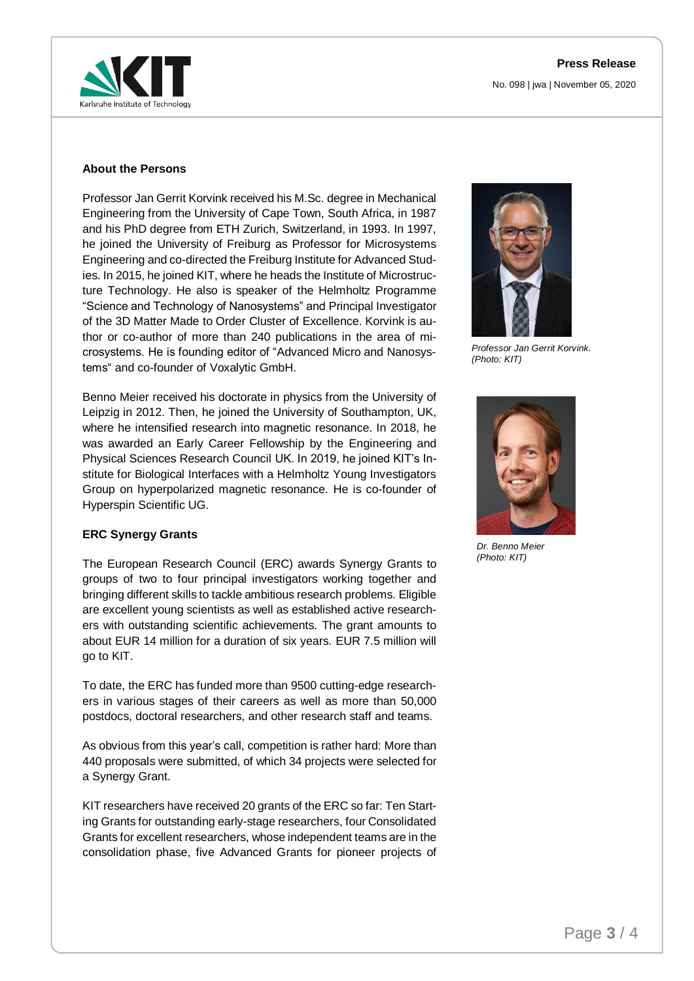

#### **About the Persons**

Professor Jan Gerrit Korvink received his M.Sc. degree in Mechanical Engineering from the University of Cape Town, South Africa, in 1987 and his PhD degree from ETH Zurich, Switzerland, in 1993. In 1997, he joined the University of Freiburg as Professor for Microsystems Engineering and co-directed the Freiburg Institute for Advanced Studies. In 2015, he joined KIT, where he heads the Institute of Microstructure Technology. He also is speaker of the Helmholtz Programme "Science and Technology of Nanosystems" and Principal Investigator of the 3D Matter Made to Order Cluster of Excellence. Korvink is author or co-author of more than 240 publications in the area of microsystems. He is founding editor of "Advanced Micro and Nanosystems" and co-founder of Voxalytic GmbH.

Benno Meier received his doctorate in physics from the University of Leipzig in 2012. Then, he joined the University of Southampton, UK, where he intensified research into magnetic resonance. In 2018, he was awarded an Early Career Fellowship by the Engineering and Physical Sciences Research Council UK. In 2019, he joined KIT's Institute for Biological Interfaces with a Helmholtz Young Investigators Group on hyperpolarized magnetic resonance. He is co-founder of Hyperspin Scientific UG.

#### **ERC Synergy Grants**

The European Research Council (ERC) awards Synergy Grants to groups of two to four principal investigators working together and bringing different skills to tackle ambitious research problems. Eligible are excellent young scientists as well as established active researchers with outstanding scientific achievements. The grant amounts to about EUR 14 million for a duration of six years. EUR 7.5 million will go to KIT.

To date, the ERC has funded more than 9500 cutting-edge researchers in various stages of their careers as well as more than 50,000 postdocs, doctoral researchers, and other research staff and teams.

As obvious from this year's call, competition is rather hard: More than 440 proposals were submitted, of which 34 projects were selected for a Synergy Grant.

KIT researchers have received 20 grants of the ERC so far: Ten Starting Grants for outstanding early-stage researchers, four Consolidated Grants for excellent researchers, whose independent teams are in the consolidation phase, five Advanced Grants for pioneer projects of



*Professor Jan Gerrit Korvink. (Photo: KIT)*



*Dr. Benno Meier (Photo: KIT)*